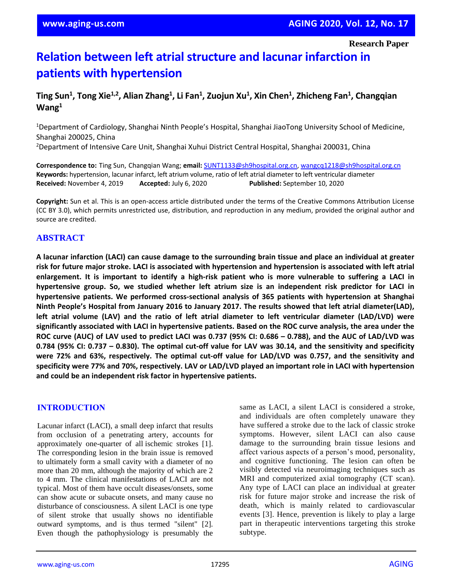# **Relation between left atrial structure and lacunar infarction in patients with hypertension**

# **Ting Sun<sup>1</sup> , Tong Xie1,2 , Alian Zhang<sup>1</sup> , Li Fan<sup>1</sup> , Zuojun Xu<sup>1</sup> , Xin Chen<sup>1</sup> , Zhicheng Fan<sup>1</sup> , Changqian Wang<sup>1</sup>**

<sup>1</sup>Department of Cardiology, Shanghai Ninth People's Hospital, Shanghai JiaoTong University School of Medicine, Shanghai 200025, China

<sup>2</sup>Department of Intensive Care Unit, Shanghai Xuhui District Central Hospital, Shanghai 200031, China

**Correspondence to:** Ting Sun, Changqian Wang; **email:** [SUNT1133@sh9hospital.org.](mailto:SUNT1133@sh9hospital.org)cn[, wangcq1218@sh9hospital.org.](mailto:wangcq1218@sh9hospital.org)cn **Keywords:** hypertension, lacunar infarct, left atrium volume, ratio of left atrial diameter to left ventricular diameter **Received:** November 4, 2019 **Accepted:** July 6, 2020 **Published:** September 10, 2020

**Copyright:** Sun et al. This is an open-access article distributed under the terms of the Creative Commons Attribution License (CC BY 3.0), which permits unrestricted use, distribution, and reproduction in any medium, provided the original author and source are credited.

# **ABSTRACT**

A lacunar infarction (LACI) can cause damage to the surrounding brain tissue and place an individual at greater risk for future major stroke. LACI is associated with hypertension and hypertension is associated with left atrial enlargement. It is important to identify a high-risk patient who is more vulnerable to suffering a LACI in **hypertensive group. So, we studied whether left atrium size is an independent risk predictor for LACI in hypertensive patients. We performed cross-sectional analysis of 365 patients with hypertension at Shanghai Ninth People's Hospital from January 2016 to January 2017. The results showed that left atrial diameter(LAD),** left atrial volume (LAV) and the ratio of left atrial diameter to left ventricular diameter (LAD/LVD) were significantly associated with LACI in hypertensive patients. Based on the ROC curve analysis, the area under the ROC curve (AUC) of LAV used to predict LACI was 0.737 (95% CI: 0.686 - 0.788), and the AUC of LAD/LVD was 0.784 (95% CI: 0.737 – 0.830). The optimal cut-off value for LAV was 30.14, and the sensitivity and specificity **were 72% and 63%, respectively. The optimal cut-off value for LAD/LVD was 0.757, and the sensitivity and** specificity were 77% and 70%, respectively. LAV or LAD/LVD played an important role in LACI with hypertension **and could be an independent risk factor in hypertensive patients.**

## **INTRODUCTION**

Lacunar infarct (LACI), a small deep infarct that results from occlusion of a penetrating artery, accounts for approximately one-quarter of all ischemic strokes [1]. The corresponding lesion in the brain issue is removed to ultimately form a small cavity with a diameter of no more than 20 mm, although the majority of which are 2 to 4 mm. The clinical manifestations of LACI are not typical. Most of them have occult diseases/onsets, some can show acute or subacute onsets, and many cause no disturbance of consciousness. A silent LACI is one type of silent stroke that usually shows no identifiable outward symptoms, and is thus termed "silent" [2]. Even though the pathophysiology is presumably the same as LACI, a silent LACI is considered a stroke, and individuals are often completely unaware they have suffered a stroke due to the lack of classic stroke symptoms. However, silent LACI can also cause damage to the surrounding brain tissue lesions and affect various aspects of a person's mood, personality, and cognitive functioning. The lesion can often be visibly detected via neuroimaging techniques such as MRI and computerized axial tomography (CT scan). Any type of LACI can place an individual at greater risk for future major stroke and increase the risk of death, which is mainly related to cardiovascular events [3]. Hence, prevention is likely to play a large part in therapeutic interventions targeting this stroke subtype.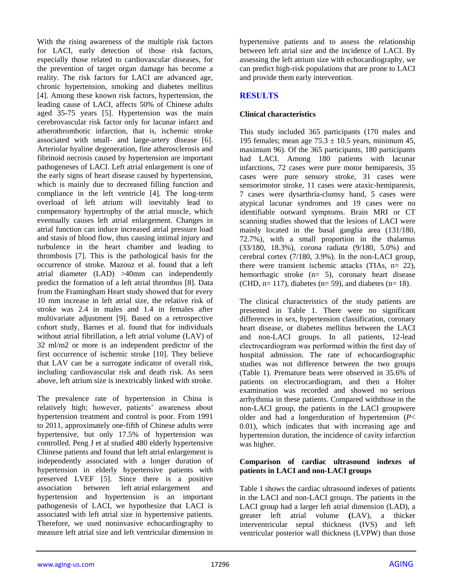With the rising awareness of the multiple risk factors for LACI, early detection of those risk factors, especially those related to cardiovascular diseases, for the prevention of target organ damage has become a reality. The risk factors for LACI are advanced age, chronic hypertension, smoking and diabetes mellitus [4]. Among these known risk factors, hypertension, the leading cause of LACI, affects 50% of Chinese adults aged 35-75 years [5]. Hypertension was the main cerebrovascular risk factor only for lacunar infarct and atherothrombotic infarction, that is, ischemic stroke associated with small- and large-artery disease [6]. Arteriolar hyaline degeneration, fine atherosclerosis and fibrinoid necrosis caused by hypertension are important pathogeneses of LACI. Left atrial enlargement is one of the early signs of heart disease caused by hypertension, which is mainly due to decreased filling function and compliance in the left ventricle [4]. The long-term overload of left atrium will inevitably lead to compensatory hypertrophy of the atrial muscle, which eventually causes left atrial enlargement. Changes in atrial function can induce increased atrial pressure load and stasis of blood flow, thus causing intimal injury and turbulence in the heart chamber and leading to thrombosis [7]. This is the pathological basis for the occurrence of stroke. Mazouz et al. found that a left atrial diameter (LAD) >40mm can independently predict the formation of a left atrial thrombus [8]. Data from the Framingham Heart study showed that for every 10 mm increase in left atrial size, the relative risk of stroke was 2.4 in males and 1.4 in females after multivariate adjustment [9]. Based on a retrospective cohort study, Barnes et al. found that for individuals without atrial fibrillation, a left atrial volume (LAV) of 32 ml/m2 or more is an independent predictor of the first occurrence of ischemic stroke [10]. They believe that LAV can be a surrogate indicator of overall risk, including cardiovascular risk and death risk. As seen above, left atrium size is inextricably linked with stroke.

The prevalence rate of hypertension in China is relatively high; however, patients' awareness about hypertension treatment and control is poor. From 1991 to 2011, approximately one-fifth of Chinese adults were hypertensive, but only 17.5% of hypertension was controlled. Peng J et al studied 480 elderly hypertensive Chinese patients and found that left atrial enlargement is independently associated with a longer duration of hypertension in elderly hypertensive patients with preserved LVEF [5]. Since there is a positive association between left atrial enlargement and hypertension and hypertension is an important pathogenesis of LACI, we hypothesize that LACI is associated with left atrial size in hypertensive patients. Therefore, we used noninvasive echocardiography to measure left atrial size and left ventricular dimension in

hypertensive patients and to assess the relationship between left atrial size and the incidence of LACI. By assessing the left atrium size with echocardiography, we can predict high-risk populations that are prone to LACI and provide them early intervention.

## **RESULTS**

## **Clinical characteristics**

This study included 365 participants (170 males and 195 females; mean age  $75.3 \pm 10.5$  years, minimum 45, maximum 96). Of the 365 participants, 180 participants had LACI. Among 180 patients with lacunar infarctions, 72 cases were pure motor hemiparesis, 35 cases were pure sensory stroke, 31 cases were sensorimotor stroke, 11 cases were ataxic-hemiparesis, 7 cases were dysarthria-clumsy hand, 5 cases were atypical lacunar syndromes and 19 cases were no identifiable outward symptoms. Brain MRI or CT scanning studies showed that the lesions of LACI were mainly located in the basal ganglia area (131/180, 72.7%), with a small proportion in the thalamus (33/180, 18.3%), corona radiata (9/180, 5.0%) and cerebral cortex (7/180, 3.9%). In the non-LACI group, there were transient ischemic attacks  $(TIAs, n= 22)$ , hemorrhagic stroke (n= 5), coronary heart disease (CHD,  $n= 117$ ), diabetes ( $n= 59$ ), and diabetes ( $n= 18$ ).

The clinical characteristics of the study patients are presented in Table 1. There were no significant differences in sex, hypertension classification, coronary heart disease, or diabetes mellitus between the LACI and non-LACI groups. In all patients, 12-lead electrocardiogram was performed within the first day of hospital admission. The rate of echocardiographic studies was not difference between the two groups (Table 1). Premature beats were observed in 35.6% of patients on electrocardiogram, and then a Holter examination was recorded and showed no serious arrhythmia in these patients. Compared withthose in the non-LACI group, the patients in the LACI groupwere older and had a longerduration of hypertension (*P*< 0.01), which indicates that with increasing age and hypertension duration, the incidence of cavity infarction was higher.

## **Comparison of cardiac ultrasound indexes of patients in LACI and non-LACI groups**

Table 1 shows the cardiac ultrasound indexes of patients in the LACI and non-LACI groups. The patients in the LACI group had a larger left atrial dimension (LAD), a greater left atrial volume **(**LAV), a thicker interventricular septal thickness (IVS) and left ventricular posterior wall thickness (LVPW) than those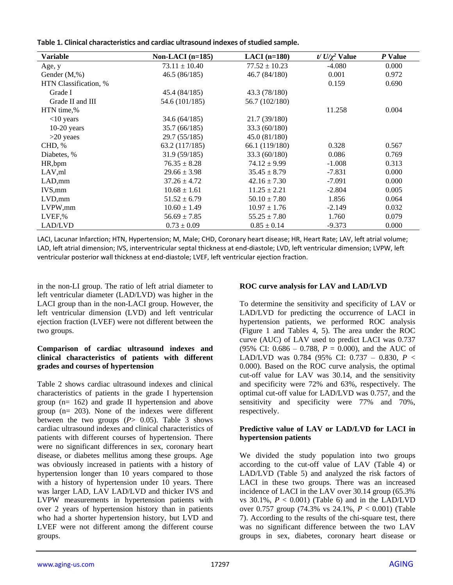| Table 1. Clinical characteristics and cardiac ultrasound indexes of studied sample. |  |  |
|-------------------------------------------------------------------------------------|--|--|
|-------------------------------------------------------------------------------------|--|--|

| <b>Variable</b>       | Non-LACI $(n=185)$ | $LACI$ (n=180)    | $t/\sqrt{U/\gamma^2}$ Value | P Value |
|-----------------------|--------------------|-------------------|-----------------------------|---------|
| Age, y                | $73.11 \pm 10.40$  | $77.52 \pm 10.23$ | $-4.080$                    | 0.000   |
| Gender $(M, \%)$      | 46.5 (86/185)      | 46.7 (84/180)     | 0.001                       | 0.972   |
| HTN Classification, % |                    |                   | 0.159                       | 0.690   |
| Grade I               | 45.4 (84/185)      | 43.3 (78/180)     |                             |         |
| Grade II and III      | 54.6 (101/185)     | 56.7 (102/180)    |                             |         |
| HTN time,%            |                    |                   | 11.258                      | 0.004   |
| $<$ 10 years          | 34.6 (64/185)      | 21.7 (39/180)     |                             |         |
| $10-20$ years         | 35.7 (66/185)      | 33.3 (60/180)     |                             |         |
| $>20$ yeaes           | 29.7 (55/185)      | 45.0 (81/180)     |                             |         |
| CHD, %                | 63.2 (117/185)     | 66.1 (119/180)    | 0.328                       | 0.567   |
| Diabetes, %           | 31.9(59/185)       | 33.3 (60/180)     | 0.086                       | 0.769   |
| HR,bpm                | $76.35 \pm 8.28$   | $74.12 \pm 9.99$  | $-1.008$                    | 0.313   |
| LAV, ml               | $29.66 \pm 3.98$   | $35.45 \pm 8.79$  | $-7.831$                    | 0.000   |
| LAD, mm               | $37.26 \pm 4.72$   | $42.16 \pm 7.30$  | $-7.091$                    | 0.000   |
| IVS,mm                | $10.68 \pm 1.61$   | $11.25 \pm 2.21$  | $-2.804$                    | 0.005   |
| LVD,mm                | $51.52 \pm 6.79$   | $50.10 \pm 7.80$  | 1.856                       | 0.064   |
| LVPW,mm               | $10.60 \pm 1.49$   | $10.97 \pm 1.76$  | $-2.149$                    | 0.032   |
| LVEF,%                | $56.69 \pm 7.85$   | $55.25 \pm 7.80$  | 1.760                       | 0.079   |
| LAD/LVD               | $0.73 \pm 0.09$    | $0.85 \pm 0.14$   | $-9.373$                    | 0.000   |

LACI, Lacunar Infarction; HTN, Hypertension; M, Male; CHD, Coronary heart disease; HR, Heart Rate; LAV, left atrial volume; LAD, left atrial dimension; IVS, interventricular septal thickness at end-diastole; LVD, left ventricular dimension; LVPW, left ventricular posterior wall thickness at end-diastole; LVEF, left ventricular ejection fraction.

in the non-LI group. The ratio of left atrial diameter to left ventricular diameter (LAD/LVD) was higher in the LACI group than in the non-LACI group. However, the left ventricular dimension (LVD) and left ventricular ejection fraction (LVEF) were not different between the two groups.

## **Comparison of cardiac ultrasound indexes and clinical characteristics of patients with different grades and courses of hypertension**

Table 2 shows cardiac ultrasound indexes and clinical characteristics of patients in the grade I hypertension group (n= 162) and grade II hypertension and above group (n= 203). None of the indexes were different between the two groups (*P*> 0.05). Table 3 shows cardiac ultrasound indexes and clinical characteristics of patients with different courses of hypertension. There were no significant differences in sex, coronary heart disease, or diabetes mellitus among these groups. Age was obviously increased in patients with a history of hypertension longer than 10 years compared to those with a history of hypertension under 10 years. There was larger LAD, LAV LAD/LVD and thicker IVS and LVPW measurements in hypertension patients with over 2 years of hypertension history than in patients who had a shorter hypertension history, but LVD and LVEF were not different among the different course groups.

# **ROC curve analysis for LAV and LAD/LVD**

To determine the sensitivity and specificity of LAV or LAD/LVD for predicting the occurrence of LACI in hypertension patients, we performed ROC analysis (Figure 1 and Tables 4, 5). The area under the ROC curve (AUC) of LAV used to predict LACI was 0.737 (95% CI: 0.686 – 0.788, *P* = 0.000), and the AUC of LAD/LVD was 0.784 (95% CI: 0.737 – 0.830, *P* < 0.000). Based on the ROC curve analysis, the optimal cut-off value for LAV was 30.14, and the sensitivity and specificity were 72% and 63%, respectively. The optimal cut-off value for LAD/LVD was 0.757, and the sensitivity and specificity were 77% and 70%, respectively.

## **Predictive value of LAV or LAD/LVD for LACI in hypertension patients**

We divided the study population into two groups according to the cut-off value of LAV (Table 4) or LAD/LVD (Table 5) and analyzed the risk factors of LACI in these two groups. There was an increased incidence of LACI in the LAV over 30.14 group (65.3% vs  $30.1\%$ ,  $P < 0.001$ ) (Table 6) and in the LAD/LVD over 0.757 group (74.3% vs 24.1%, *P* < 0.001) (Table 7). According to the results of the chi-square test, there was no significant difference between the two LAV groups in sex, diabetes, coronary heart disease or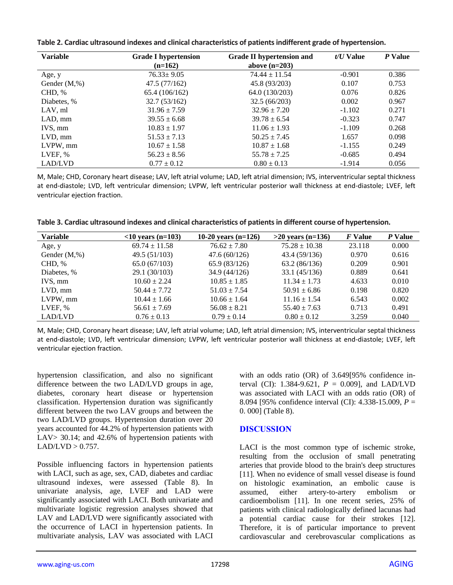| Table 2. Cardiac ultrasound indexes and clinical characteristics of patients indifferent grade of hypertension. |  |
|-----------------------------------------------------------------------------------------------------------------|--|
|-----------------------------------------------------------------------------------------------------------------|--|

| <b>Variable</b>   | <b>Grade I hypertension</b><br>$(n=162)$ | <b>Grade II hypertension and</b><br>above $(n=203)$ | $t/U$ Value | P Value |
|-------------------|------------------------------------------|-----------------------------------------------------|-------------|---------|
|                   |                                          |                                                     |             |         |
| Age, y            | $76.33 \pm 9.05$                         | $74.44 \pm 11.54$                                   | $-0.901$    | 0.386   |
| Gender $(M, \% )$ | 47.5(77/162)                             | 45.8 (93/203)                                       | 0.107       | 0.753   |
| CHD, %            | 65.4 (106/162)                           | 64.0 (130/203)                                      | 0.076       | 0.826   |
| Diabetes, %       | 32.7(53/162)                             | 32.5(66/203)                                        | 0.002       | 0.967   |
| LAV, ml           | $31.96 \pm 7.59$                         | $32.96 \pm 7.20$                                    | $-1.102$    | 0.271   |
| LAD, mm           | $39.55 \pm 6.68$                         | $39.78 \pm 6.54$                                    | $-0.323$    | 0.747   |
| IVS, mm           | $10.83 \pm 1.97$                         | $11.06 \pm 1.93$                                    | $-1.109$    | 0.268   |
| $LVD$ , mm        | $51.53 \pm 7.13$                         | $50.25 \pm 7.45$                                    | 1.657       | 0.098   |
| LVPW, mm          | $10.67 \pm 1.58$                         | $10.87 \pm 1.68$                                    | $-1.155$    | 0.249   |
| LVEF, %           | $56.23 \pm 8.56$                         | $55.78 \pm 7.25$                                    | $-0.685$    | 0.494   |
| LAD/LVD           | $0.77 \pm 0.12$                          | $0.80 \pm 0.13$                                     | $-1.914$    | 0.056   |

M, Male; CHD, Coronary heart disease; LAV, left atrial volume; LAD, left atrial dimension; IVS, interventricular septal thickness at end-diastole; LVD, left ventricular dimension; LVPW, left ventricular posterior wall thickness at end-diastole; LVEF, left ventricular ejection fraction.

| <b>Variable</b>   | $<$ 10 years (n=103) | 10-20 years $(n=126)$ | $>20$ years (n=136) | F Value | P Value |
|-------------------|----------------------|-----------------------|---------------------|---------|---------|
| Age, y            | $69.74 \pm 11.58$    | $76.62 \pm 7.80$      | $75.28 \pm 10.38$   | 23.118  | 0.000   |
| Gender $(M, \% )$ | 49.5(51/103)         | 47.6(60/126)          | 43.4 (59/136)       | 0.970   | 0.616   |
| CHD, %            | 65.0(67/103)         | 65.9 (83/126)         | 63.2(86/136)        | 0.209   | 0.901   |
| Diabetes, %       | 29.1 (30/103)        | 34.9(44/126)          | 33.1(45/136)        | 0.889   | 0.641   |
| IVS. mm           | $10.60 \pm 2.24$     | $10.85 \pm 1.85$      | $11.34 \pm 1.73$    | 4.633   | 0.010   |
| $LVD$ , mm        | $50.44 \pm 7.72$     | $51.03 \pm 7.54$      | $50.91 \pm 6.86$    | 0.198   | 0.820   |
| LVPW, mm          | $10.44 \pm 1.66$     | $10.66 \pm 1.64$      | $11.16 \pm 1.54$    | 6.543   | 0.002   |
| LVEF, %           | $56.61 \pm 7.69$     | $56.08 \pm 8.21$      | $55.40 \pm 7.63$    | 0.713   | 0.491   |
| LAD/LVD           | $0.76 \pm 0.13$      | $0.79 \pm 0.14$       | $0.80 \pm 0.12$     | 3.259   | 0.040   |

M, Male; CHD, Coronary heart disease; LAV, left atrial volume; LAD, left atrial dimension; IVS, interventricular septal thickness at end-diastole; LVD, left ventricular dimension; LVPW, left ventricular posterior wall thickness at end-diastole; LVEF, left ventricular ejection fraction.

hypertension classification, and also no significant difference between the two LAD/LVD groups in age, diabetes, coronary heart disease or hypertension classification. Hypertension duration was significantly different between the two LAV groups and between the two LAD/LVD groups. Hypertension duration over 20 years accounted for 44.2% of hypertension patients with LAV> 30.14; and 42.6% of hypertension patients with  $LAD/LVD > 0.757$ .

Possible influencing factors in hypertension patients with LACI, such as age, sex, CAD, diabetes and cardiac ultrasound indexes, were assessed (Table 8). In univariate analysis, age, LVEF and LAD were significantly associated with LACI. Both univariate and multivariate logistic regression analyses showed that LAV and LAD/LVD were significantly associated with the occurrence of LACI in hypertension patients. In multivariate analysis, LAV was associated with LACI with an odds ratio (OR) of 3.649[95% confidence interval (CI): 1.384-9.621,  $P = 0.009$ ], and LAD/LVD was associated with LACI with an odds ratio (OR) of 8.094 [95% confidence interval (CI): 4.338-15.009, *P* = 0. 000] (Table 8).

# **DISCUSSION**

LACI is the most common type of ischemic stroke, resulting from the occlusion of small penetrating arteries that provide blood to the brain's deep structures [11]. When no evidence of small vessel disease is found on histologic examination, an embolic cause is assumed, either artery-to-artery embolism or cardioembolism [11]. In one recent series, 25% of patients with clinical radiologically defined lacunas had a potential cardiac cause for their strokes [12]. Therefore, it is of particular importance to prevent cardiovascular and cerebrovascular complications as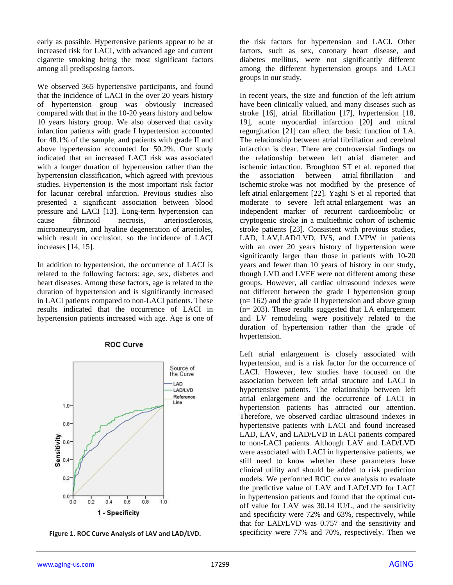early as possible. Hypertensive patients appear to be at increased risk for LACI, with advanced age and current cigarette smoking being the most significant factors among all predisposing factors.

We observed 365 hypertensive participants, and found that the incidence of LACI in the over 20 years history of hypertension group was obviously increased compared with that in the 10-20 years history and below 10 years history group. We also observed that cavity infarction patients with grade I hypertension accounted for 48.1% of the sample, and patients with grade II and above hypertension accounted for 50.2%. Our study indicated that an increased LACI risk was associated with a longer duration of hypertension rather than the hypertension classification, which agreed with previous studies. Hypertension is the most important risk factor for lacunar cerebral infarction. Previous studies also presented a significant association between blood pressure and LACI [13]. Long-term hypertension can cause fibrinoid necrosis, arteriosclerosis, microaneurysm, and hyaline degeneration of arterioles, which result in occlusion, so the incidence of LACI increases [14, 15].

In addition to hypertension, the occurrence of LACI is related to the following factors: age, sex, diabetes and heart diseases. Among these factors, age is related to the duration of hypertension and is significantly increased in LACI patients compared to non-LACI patients. These results indicated that the occurrence of LACI in hypertension patients increased with age. Age is one of

#### Source of the Curve **I AD LAD/LVD** Reference Line  $1.0 0.8^{\circ}$ Sensitivity  $0.6^{\circ}$  $0.4$  $0.2$  $0.0 0.2$  $0.4$  $0.6$  $0.8$  $1.0$  $0.0$ 1 - Specificity

#### **ROC Curve**

**Figure 1. ROC Curve Analysis of LAV and LAD/LVD.**

the risk factors for hypertension and LACI. Other factors, such as sex, coronary heart disease, and diabetes mellitus, were not significantly different among the different hypertension groups and LACI groups in our study.

In recent years, the size and function of the left atrium have been clinically valued, and many diseases such as stroke [16], atrial fibrillation [17], hypertension [18, 19], acute myocardial infarction [20] and mitral regurgitation [21] can affect the basic function of LA. The relationship between atrial fibrillation and cerebral infarction is clear. There are controversial findings on the relationship between left atrial diameter and ischemic infarction. Broughton ST et al. reported that the association between atrial fibrillation and ischemic stroke was not modified by the presence of left atrial enlargement [22]. Yaghi S et al reported that moderate to severe left atrial enlargement was an independent marker of recurrent cardioembolic or cryptogenic stroke in a multiethnic cohort of ischemic stroke patients [23]. Consistent with previous studies, LAD, LAV,LAD/LVD, IVS, and LVPW in patients with an over 20 years history of hypertension were significantly larger than those in patients with 10-20 years and fewer than 10 years of history in our study, though LVD and LVEF were not different among these groups. However, all cardiac ultrasound indexes were not different between the grade I hypertension group  $(n= 162)$  and the grade II hypertension and above group (n= 203). These results suggested that LA enlargement and LV remodeling were positively related to the duration of hypertension rather than the grade of hypertension.

Left atrial enlargement is closely associated with hypertension, and is a risk factor for the occurrence of LACI. However, few studies have focused on the association between left atrial structure and LACI in hypertensive patients. The relationship between left atrial enlargement and the occurrence of LACI in hypertension patients has attracted our attention. Therefore, we observed cardiac ultrasound indexes in hypertensive patients with LACI and found increased LAD, LAV, and LAD/LVD in LACI patients compared to non-LACI patients. Although LAV and LAD/LVD were associated with LACI in hypertensive patients, we still need to know whether these parameters have clinical utility and should be added to risk prediction models. We performed ROC curve analysis to evaluate the predictive value of LAV and LAD/LVD for LACI in hypertension patients and found that the optimal cutoff value for LAV was 30.14 IU/L, and the sensitivity and specificity were 72% and 63%, respectively, while that for LAD/LVD was 0.757 and the sensitivity and specificity were 77% and 70%, respectively. Then we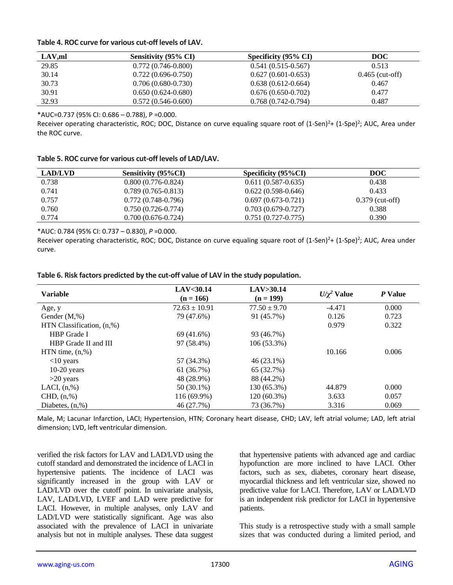## **Table 4. ROC curve for various cut-off levels of LAV.**

| LAV, ml | Sensitivity (95% CI) | Specificity (95% CI)   | <b>DOC</b>        |
|---------|----------------------|------------------------|-------------------|
| 29.85   | $0.772(0.746-0.800)$ | $0.541(0.515-0.567)$   | 0.513             |
| 30.14   | $0.722(0.696-0.750)$ | $0.627(0.601 - 0.653)$ | $0.465$ (cut-off) |
| 30.73   | $0.706(0.680-0.730)$ | $0.638(0.612-0.664)$   | 0.467             |
| 30.91   | $0.650(0.624-0.680)$ | $0.676(0.650-0.702)$   | 0.477             |
| 32.93   | $0.572(0.546-0.600)$ | $0.768(0.742-0.794)$   | 0.487             |

\*AUC=0.737 (95% CI: 0.686 – 0.788), P =0.000.

Receiver operating characteristic, ROC; DOC, Distance on curve equaling square root of (1-Sen)<sup>2</sup>+ (1-Spe)<sup>2</sup>; AUC, Area under the ROC curve.

| Table 5. ROC curve for various cut-off levels of LAD/LAV. |  |  |  |
|-----------------------------------------------------------|--|--|--|
|-----------------------------------------------------------|--|--|--|

| <b>LAD/LVD</b> | <b>Sensitivity (95%CI)</b> | Specificity $(95\%CI)$ | DOC               |
|----------------|----------------------------|------------------------|-------------------|
| 0.738          | $0.800(0.776-0.824)$       | $0.611(0.587-0.635)$   | 0.438             |
| 0.741          | $0.789(0.765-0.813)$       | $0.622(0.598-0.646)$   | 0.433             |
| 0.757          | $0.772(0.748-0.796)$       | $0.697(0.673-0.721)$   | $0.379$ (cut-off) |
| 0.760          | $0.750(0.726-0.774)$       | $0.703(0.679-0.727)$   | 0.388             |
| 0.774          | $0.700(0.676-0.724)$       | $0.751(0.727-0.775)$   | 0.390             |

\*AUC: 0.784 (95% CI: 0.737 – 0.830), *P* =0.000.

Receiver operating characteristic, ROC; DOC, Distance on curve equaling square root of (1-Sen)<sup>2</sup>+ (1-Spe)<sup>2</sup>; AUC, Area under curve.

| <b>Variable</b>           | LAV < 30.14<br>$(n = 166)$ | LAV>30.14<br>$(n = 199)$ | $U/\chi^2$ Value | P Value |
|---------------------------|----------------------------|--------------------------|------------------|---------|
| Age, y                    | $72.63 \pm 10.91$          | $77.50 \pm 9.70$         | $-4.471$         | 0.000   |
| Gender (M,%)              | 79 (47.6%)                 | 91 (45.7%)               | 0.126            | 0.723   |
| HTN Classification, (n,%) |                            |                          | 0.979            | 0.322   |
| <b>HBP</b> Grade I        | 69 (41.6%)                 | 93 (46.7%)               |                  |         |
| HBP Grade II and III      | 97 (58.4%)                 | 106 (53.3%)              |                  |         |
| $HTN$ time, $(n, %)$      |                            |                          | 10.166           | 0.006   |
| $<$ 10 years              | 57 (34.3%)                 | 46 (23.1%)               |                  |         |
| $10-20$ years             | 61 (36.7%)                 | 65 (32.7%)               |                  |         |
| $>20$ years               | 48 (28.9%)                 | 88 (44.2%)               |                  |         |
| LACI, $(n, %)$            | 50 (30.1%)                 | 130 (65.3%)              | 44.879           | 0.000   |
| CHD, (n,%)                | 116 (69.9%)                | $120(60.3\%)$            | 3.633            | 0.057   |
| Diabetes, $(n, %)$        | 46 (27.7%)                 | 73 (36.7%)               | 3.316            | 0.069   |

**Table 6. Risk factors predicted by the cut-off value of LAV in the study population.**

Male, M; Lacunar Infarction, LACI; Hypertension, HTN; Coronary heart disease, CHD; LAV, left atrial volume; LAD, left atrial dimension; LVD, left ventricular dimension.

verified the risk factors for LAV and LAD/LVD using the cutoff standard and demonstrated the incidence of LACI in hypertensive patients. The incidence of LACI was significantly increased in the group with LAV or LAD/LVD over the cutoff point. In univariate analysis, LAV, LAD/LVD, LVEF and LAD were predictive for LACI. However, in multiple analyses, only LAV and LAD/LVD were statistically significant. Age was also associated with the prevalence of LACI in univariate analysis but not in multiple analyses. These data suggest that hypertensive patients with advanced age and cardiac hypofunction are more inclined to have LACI. Other factors, such as sex, diabetes, coronary heart disease, myocardial thickness and left ventricular size, showed no predictive value for LACI. Therefore, LAV or LAD/LVD is an independent risk predictor for LACI in hypertensive patients.

This study is a retrospective study with a small sample sizes that was conducted during a limited period, and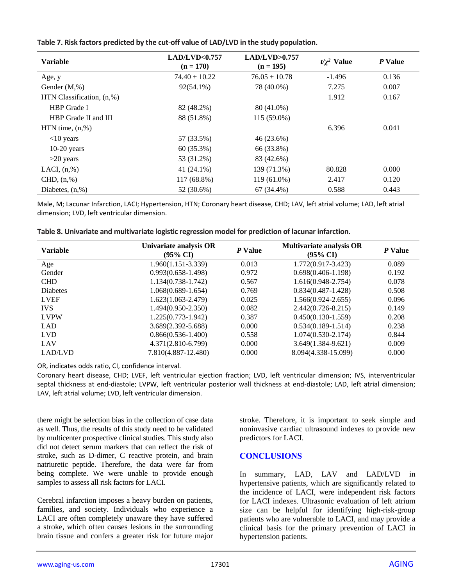|  | Table 7. Risk factors predicted by the cut-off value of LAD/LVD in the study population. |
|--|------------------------------------------------------------------------------------------|
|--|------------------------------------------------------------------------------------------|

| <b>Variable</b>              | LAD/LVD<0.757<br>$(n = 170)$ | LAD/LVD>0.757<br>$(n = 195)$ | $t/\gamma^2$ Value | P Value |
|------------------------------|------------------------------|------------------------------|--------------------|---------|
| Age, y                       | $74.40 \pm 10.22$            | $76.05 \pm 10.78$            | $-1.496$           | 0.136   |
| Gender $(M, \%)$             | $92(54.1\%)$                 | 78 (40.0%)                   | 7.275              | 0.007   |
| HTN Classification, $(n, %)$ |                              |                              | 1.912              | 0.167   |
| <b>HBP</b> Grade I           | 82 (48.2%)                   | 80 (41.0%)                   |                    |         |
| HBP Grade II and III         | 88 (51.8%)                   | 115 (59.0%)                  |                    |         |
| $HTN$ time, $(n, %)$         |                              |                              | 6.396              | 0.041   |
| $<$ 10 years                 | 57 (33.5%)                   | 46 (23.6%)                   |                    |         |
| $10-20$ years                | $60(35.3\%)$                 | 66 (33.8%)                   |                    |         |
| $>20$ years                  | 53 (31.2%)                   | 83 (42.6%)                   |                    |         |
| LACI, $(n, %)$               | 41 (24.1%)                   | 139 (71.3%)                  | 80.828             | 0.000   |
| CHD, (n,%)                   | 117 (68.8%)                  | 119 (61.0%)                  | 2.417              | 0.120   |
| Diabetes, $(n, %)$           | 52 (30.6%)                   | 67 (34.4%)                   | 0.588              | 0.443   |

Male, M; Lacunar Infarction, LACI; Hypertension, HTN; Coronary heart disease, CHD; LAV, left atrial volume; LAD, left atrial dimension; LVD, left ventricular dimension.

| Table 8. Univariate and multivariate logistic regression model for prediction of lacunar infarction. |  |
|------------------------------------------------------------------------------------------------------|--|
|------------------------------------------------------------------------------------------------------|--|

| <b>Variable</b> | Univariate analysis OR<br>$(95\% \text{ CI})$ | P Value | <b>Multivariate analysis OR</b><br>$(95\% \text{ CI})$ | P Value |
|-----------------|-----------------------------------------------|---------|--------------------------------------------------------|---------|
| Age             | 1.960(1.151-3.339)                            | 0.013   | $1.772(0.917 - 3.423)$                                 | 0.089   |
| Gender          | $0.993(0.658-1.498)$                          | 0.972   | $0.698(0.406-1.198)$                                   | 0.192   |
| <b>CHD</b>      | $1.134(0.738-1.742)$                          | 0.567   | $1.616(0.948-2.754)$                                   | 0.078   |
| <b>Diabetes</b> | $1.068(0.689 - 1.654)$                        | 0.769   | $0.834(0.487-1.428)$                                   | 0.508   |
| <b>LVEF</b>     | $1.623(1.063 - 2.479)$                        | 0.025   | $1.566(0.924 - 2.655)$                                 | 0.096   |
| <b>IVS</b>      | $1.494(0.950-2.350)$                          | 0.082   | $2.442(0.726 - 8.215)$                                 | 0.149   |
| <b>LVPW</b>     | 1.225(0.773-1.942)                            | 0.387   | $0.450(0.130-1.559)$                                   | 0.208   |
| <b>LAD</b>      | 3.689(2.392-5.688)                            | 0.000   | $0.534(0.189-1.514)$                                   | 0.238   |
| <b>LVD</b>      | $0.866(0.536-1.400)$                          | 0.558   | $1.074(0.530-2.174)$                                   | 0.844   |
| LAV             | 4.371(2.810-6.799)                            | 0.000   | $3.649(1.384-9.621)$                                   | 0.009   |
| LAD/LVD         | 7.810(4.887-12.480)                           | 0.000   | 8.094(4.338-15.099)                                    | 0.000   |

OR, indicates odds ratio, CI, confidence interval.

Coronary heart disease, CHD; LVEF, left ventricular ejection fraction; LVD, left ventricular dimension; IVS, interventricular septal thickness at end-diastole; LVPW, left ventricular posterior wall thickness at end-diastole; LAD, left atrial dimension; LAV, left atrial volume; LVD, left ventricular dimension.

there might be selection bias in the collection of case data as well. Thus, the results of this study need to be validated by multicenter prospective clinical studies. This study also did not detect serum markers that can reflect the risk of stroke, such as D-dimer, C reactive protein, and brain natriuretic peptide. Therefore, the data were far from being complete. We were unable to provide enough samples to assess all risk factors for LACI.

Cerebral infarction imposes a heavy burden on patients, families, and society. Individuals who experience a LACI are often completely unaware they have suffered a stroke, which often causes lesions in the surrounding brain tissue and confers a greater risk for future major stroke. Therefore, it is important to seek simple and noninvasive cardiac ultrasound indexes to provide new predictors for LACI.

# **CONCLUSIONS**

In summary, LAD, LAV and LAD/LVD in hypertensive patients, which are significantly related to the incidence of LACI, were independent risk factors for LACI indexes. Ultrasonic evaluation of left atrium size can be helpful for identifying high-risk-group patients who are vulnerable to LACI, and may provide a clinical basis for the primary prevention of LACI in hypertension patients.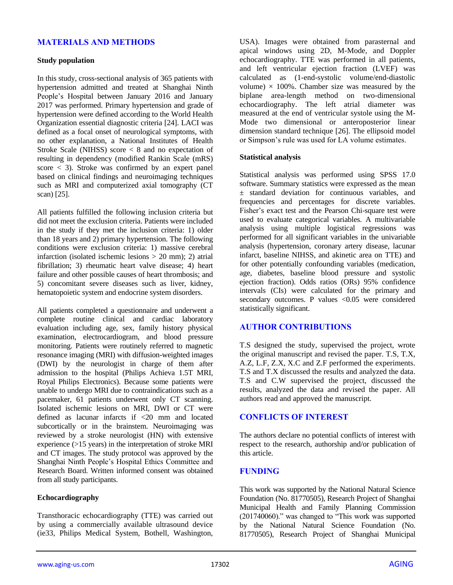# **MATERIALS AND METHODS**

### **Study population**

In this study, cross-sectional analysis of 365 patients with hypertension admitted and treated at Shanghai Ninth People's Hospital between January 2016 and January 2017 was performed. Primary hypertension and grade of hypertension were defined according to the World Health Organization essential diagnostic criteria [24]. LACI was defined as a focal onset of neurological symptoms, with no other explanation, a National Institutes of Health Stroke Scale (NIHSS) score < 8 and no expectation of resulting in dependency (modified Rankin Scale (mRS) score  $\lt$  3). Stroke was confirmed by an expert panel based on clinical findings and neuroimaging techniques such as MRI and computerized axial tomography (CT scan) [25].

All patients fulfilled the following inclusion criteria but did not meet the exclusion criteria. Patients were included in the study if they met the inclusion criteria: 1) older than 18 years and 2) primary hypertension. The following conditions were exclusion criteria: 1) massive cerebral infarction (isolated ischemic lesions > 20 mm); 2) atrial fibrillation; 3) rheumatic heart valve disease; 4) heart failure and other possible causes of heart thrombosis; and 5) concomitant severe diseases such as liver, kidney, hematopoietic system and endocrine system disorders.

All patients completed a questionnaire and underwent a complete routine clinical and cardiac laboratory evaluation including age, sex, family history physical examination, electrocardiogram, and blood pressure monitoring. Patients were routinely referred to magnetic resonance imaging (MRI) with diffusion-weighted images (DWI) by the neurologist in charge of them after admission to the hospital (Philips Achieva 1.5T MRI, Royal Philips Electronics). Because some patients were unable to undergo MRI due to contraindications such as a pacemaker, 61 patients underwent only CT scanning. Isolated ischemic lesions on MRI, DWI or CT were defined as lacunar infarcts if <20 mm and located subcortically or in the brainstem. Neuroimaging was reviewed by a stroke neurologist (HN) with extensive experience (>15 years) in the interpretation of stroke MRI and CT images. The study protocol was approved by the Shanghai Ninth People's Hospital Ethics Committee and Research Board. Written informed consent was obtained from all study participants.

## **Echocardiography**

Transthoracic echocardiography (TTE) was carried out by using a commercially available ultrasound device (ie33, Philips Medical System, Bothell, Washington, USA). Images were obtained from parasternal and apical windows using 2D, M-Mode, and Doppler echocardiography. TTE was performed in all patients, and left ventricular ejection fraction (LVEF) was calculated as (1-end-systolic volume/end-diastolic volume)  $\times$  100%. Chamber size was measured by the biplane area-length method on two-dimensional echocardiography. The left atrial diameter was measured at the end of ventricular systole using the M-Mode two dimensional or anteroposterior linear dimension standard technique [26]. The ellipsoid model or Simpson's rule was used for LA volume estimates.

## **Statistical analysis**

Statistical analysis was performed using SPSS 17.0 software. Summary statistics were expressed as the mean ± standard deviation for continuous variables, and frequencies and percentages for discrete variables. Fisher's exact test and the Pearson Chi-square test were used to evaluate categorical variables. A multivariable analysis using multiple logistical regressions was performed for all significant variables in the univariable analysis (hypertension, coronary artery disease, lacunar infarct, baseline NIHSS, and akinetic area on TTE) and for other potentially confounding variables (medication, age, diabetes, baseline blood pressure and systolic ejection fraction). Odds ratios (ORs) 95% confidence intervals (CIs) were calculated for the primary and secondary outcomes. P values <0.05 were considered statistically significant.

# **AUTHOR CONTRIBUTIONS**

T.S designed the study, supervised the project, wrote the original manuscript and revised the paper. T.S, T.X, A.Z, L.F, Z.X, X.C and Z.F performed the experiments. T.S and T.X discussed the results and analyzed the data. T.S and C.W supervised the project, discussed the results, analyzed the data and revised the paper. All authors read and approved the manuscript.

## **CONFLICTS OF INTEREST**

The authors declare no potential conflicts of interest with respect to the research, authorship and/or publication of this article.

## **FUNDING**

This work was supported by the National Natural Science Foundation (No. 81770505), Research Project of Shanghai Municipal Health and Family Planning Commission (201740060)." was changed to "This work was supported by the National Natural Science Foundation (No. 81770505), Research Project of Shanghai Municipal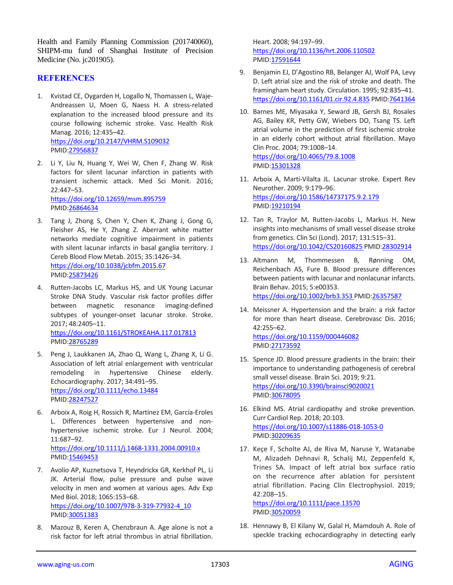Health and Family Planning Commission (201740060), SHIPM-mu fund of Shanghai Institute of Precision Medicine (No. jc201905).

## **REFERENCES**

- 1. Kvistad CE, Oygarden H, Logallo N, Thomassen L, Waje-Andreassen U, Moen G, Naess H. A stress-related explanation to the increased blood pressure and its course following ischemic stroke. Vasc Health Risk Manag. 2016; 12:435–42. <https://doi.org/10.2147/VHRM.S109032> PMID[:27956837](https://pubmed.ncbi.nlm.nih.gov/27956837)
- 2. Li Y, Liu N, Huang Y, Wei W, Chen F, Zhang W. Risk factors for silent lacunar infarction in patients with transient ischemic attack. Med Sci Monit. 2016; 22:447–53. <https://doi.org/10.12659/msm.895759>

PMID[:26864634](https://pubmed.ncbi.nlm.nih.gov/26864634)

- 3. Tang J, Zhong S, Chen Y, Chen K, Zhang J, Gong G, Fleisher AS, He Y, Zhang Z. Aberrant white matter networks mediate cognitive impairment in patients with silent lacunar infarcts in basal ganglia territory. J Cereb Blood Flow Metab. 2015; 35:1426–34. <https://doi.org/10.1038/jcbfm.2015.67> PMID[:25873426](https://pubmed.ncbi.nlm.nih.gov/25873426)
- 4. Rutten-Jacobs LC, Markus HS, and UK Young Lacunar Stroke DNA Study. Vascular risk factor profiles differ between magnetic resonance imaging-defined subtypes of younger-onset lacunar stroke. Stroke. 2017; 48:2405–11. <https://doi.org/10.1161/STROKEAHA.117.017813> PMID[:28765289](https://pubmed.ncbi.nlm.nih.gov/28765289)
- 5. Peng J, Laukkanen JA, Zhao Q, Wang L, Zhang X, Li G. Association of left atrial enlargement with ventricular remodeling in hypertensive Chinese elderly. Echocardiography. 2017; 34:491–95. <https://doi.org/10.1111/echo.13484> PMID[:28247527](https://pubmed.ncbi.nlm.nih.gov/28247527)
- 6. Arboix A, Roig H, Rossich R, Martínez EM, García-Eroles L. Differences between hypertensive and nonhypertensive ischemic stroke. Eur J Neurol. 2004; 11:687–92.

<https://doi.org/10.1111/j.1468-1331.2004.00910.x> PMID[:15469453](https://pubmed.ncbi.nlm.nih.gov/15469453)

- 7. Avolio AP, Kuznetsova T, Heyndrickx GR, Kerkhof PL, Li JK. Arterial flow, pulse pressure and pulse wave velocity in men and women at various ages. Adv Exp Med Biol. 2018; 1065:153–68. [https://doi.org/10.1007/978-3-319-77932-4\\_10](https://doi.org/10.1007/978-3-319-77932-4_10) PMID[:30051383](https://pubmed.ncbi.nlm.nih.gov/30051383)
- 8. Mazouz B, Keren A, Chenzbraun A. Age alone is not a risk factor for left atrial thrombus in atrial fibrillation.

Heart. 2008; 94:197–99. <https://doi.org/10.1136/hrt.2006.110502> PMI[D:17591644](https://pubmed.ncbi.nlm.nih.gov/17591644)

- 9. Benjamin EJ, D'Agostino RB, Belanger AJ, Wolf PA, Levy D. Left atrial size and the risk of stroke and death. The framingham heart study. Circulation. 1995; 92:835–41. <https://doi.org/10.1161/01.cir.92.4.835> PMI[D:7641364](https://pubmed.ncbi.nlm.nih.gov/7641364)
- 10. Barnes ME, Miyasaka Y, Seward JB, Gersh BJ, Rosales AG, Bailey KR, Petty GW, Wiebers DO, Tsang TS. Left atrial volume in the prediction of first ischemic stroke in an elderly cohort without atrial fibrillation. Mayo Clin Proc. 2004; 79:1008–14. <https://doi.org/10.4065/79.8.1008> PMI[D:15301328](https://pubmed.ncbi.nlm.nih.gov/15301328)
- 11. Arboix A, Martí-Vilalta JL. Lacunar stroke. Expert Rev Neurother. 2009; 9:179–96. <https://doi.org/10.1586/14737175.9.2.179> PMI[D:19210194](https://pubmed.ncbi.nlm.nih.gov/19210194)
- 12. Tan R, Traylor M, Rutten-Jacobs L, Markus H. New insights into mechanisms of small vessel disease stroke from genetics. Clin Sci (Lond). 2017; 131:515–31. <https://doi.org/10.1042/CS20160825> PMID[:28302914](https://pubmed.ncbi.nlm.nih.gov/28302914)
- 13. Altmann M, Thommessen B, Rønning OM, Reichenbach AS, Fure B. Blood pressure differences between patients with lacunar and nonlacunar infarcts. Brain Behav. 2015; 5:e00353. <https://doi.org/10.1002/brb3.353> PMID[:26357587](https://pubmed.ncbi.nlm.nih.gov/26357587)
- 14. Meissner A. Hypertension and the brain: a risk factor for more than heart disease. Cerebrovasc Dis. 2016; 42:255–62. <https://doi.org/10.1159/000446082> PMI[D:27173592](https://pubmed.ncbi.nlm.nih.gov/27173592)
- 15. Spence JD. Blood pressure gradients in the brain: their importance to understanding pathogenesis of cerebral small vessel disease. Brain Sci. 2019; 9:21. <https://doi.org/10.3390/brainsci9020021> PMI[D:30678095](https://pubmed.ncbi.nlm.nih.gov/30678095)
- 16. Elkind MS. Atrial cardiopathy and stroke prevention. Curr Cardiol Rep. 2018; 20:103. <https://doi.org/10.1007/s11886-018-1053-0> PMI[D:30209635](https://pubmed.ncbi.nlm.nih.gov/30209635)
- 17. Keçe F, Scholte AJ, de Riva M, Naruse Y, Watanabe M, Alizadeh Dehnavi R, Schalij MJ, Zeppenfeld K, Trines SA. Impact of left atrial box surface ratio on the recurrence after ablation for persistent atrial fibrillation. Pacing Clin Electrophysiol. 2019; 42:208–15.

<https://doi.org/10.1111/pace.13570> PMI[D:30520059](https://pubmed.ncbi.nlm.nih.gov/30520059)

18. Hennawy B, El Kilany W, Galal H, Mamdouh A. Role of speckle tracking echocardiography in detecting early